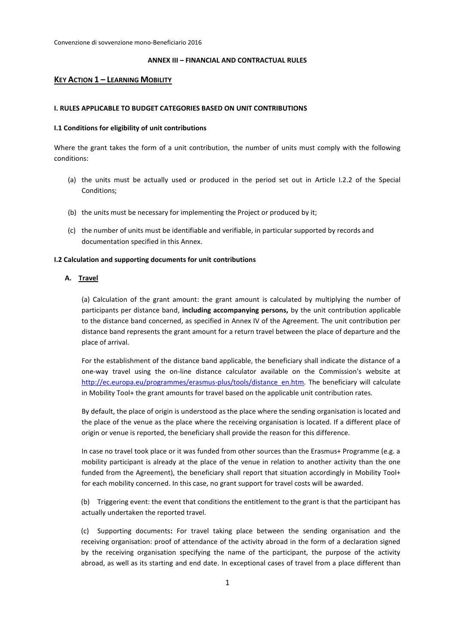#### **ANNEX III – FINANCIAL AND CONTRACTUAL RULES**

# **KEY ACTION 1 – LEARNING MOBILITY**

## **I. RULES APPLICABLE TO BUDGET CATEGORIES BASED ON UNIT CONTRIBUTIONS**

#### **I.1 Conditions for eligibility of unit contributions**

Where the grant takes the form of a unit contribution, the number of units must comply with the following conditions:

- (a) the units must be actually used or produced in the period set out in Article I.2.2 of the Special Conditions;
- (b) the units must be necessary for implementing the Project or produced by it;
- (c) the number of units must be identifiable and verifiable, in particular supported by records and documentation specified in this Annex.

#### **I.2 Calculation and supporting documents for unit contributions**

#### **A. Travel**

(a) Calculation of the grant amount: the grant amount is calculated by multiplying the number of participants per distance band, **including accompanying persons,** by the unit contribution applicable to the distance band concerned, as specified in Annex IV of the Agreement. The unit contribution per distance band represents the grant amount for a return travel between the place of departure and the place of arrival.

For the establishment of the distance band applicable, the beneficiary shall indicate the distance of a one-way travel using the on-line distance calculator available on the Commission's website at [http://ec.europa.eu/programmes/erasmus-plus/tools/distance\\_en.htm.](http://ec.europa.eu/programmes/erasmus-plus/tools/distance_en.htm) The beneficiary will calculate in Mobility Tool+ the grant amounts for travel based on the applicable unit contribution rates.

By default, the place of origin is understood as the place where the sending organisation is located and the place of the venue as the place where the receiving organisation is located. If a different place of origin or venue is reported, the beneficiary shall provide the reason for this difference.

In case no travel took place or it was funded from other sources than the Erasmus+ Programme (e.g. a mobility participant is already at the place of the venue in relation to another activity than the one funded from the Agreement), the beneficiary shall report that situation accordingly in Mobility Tool+ for each mobility concerned. In this case, no grant support for travel costs will be awarded.

(b) Triggering event: the event that conditions the entitlement to the grant is that the participant has actually undertaken the reported travel.

(c) Supporting documents**:** For travel taking place between the sending organisation and the receiving organisation: proof of attendance of the activity abroad in the form of a declaration signed by the receiving organisation specifying the name of the participant, the purpose of the activity abroad, as well as its starting and end date. In exceptional cases of travel from a place different than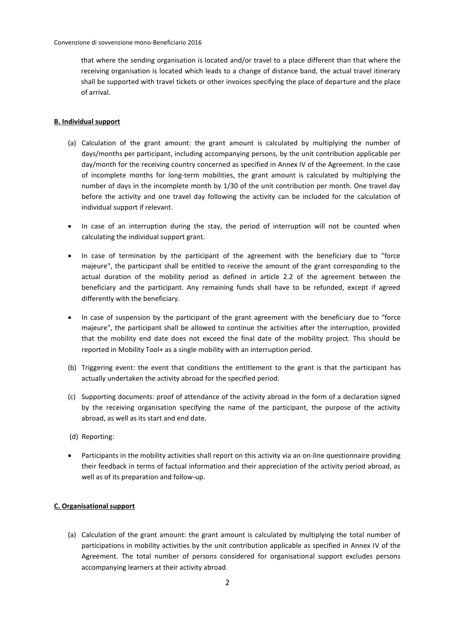that where the sending organisation is located and/or travel to a place different than that where the receiving organisation is located which leads to a change of distance band, the actual travel itinerary shall be supported with travel tickets or other invoices specifying the place of departure and the place of arrival.

#### **B. Individual support**

- (a) Calculation of the grant amount: the grant amount is calculated by multiplying the number of days/months per participant, including accompanying persons, by the unit contribution applicable per day/month for the receiving country concerned as specified in Annex IV of the Agreement. In the case of incomplete months for long-term mobilities, the grant amount is calculated by multiplying the number of days in the incomplete month by 1/30 of the unit contribution per month. One travel day before the activity and one travel day following the activity can be included for the calculation of individual support if relevant.
- In case of an interruption during the stay, the period of interruption will not be counted when calculating the individual support grant.
- In case of termination by the participant of the agreement with the beneficiary due to "force majeure", the participant shall be entitled to receive the amount of the grant corresponding to the actual duration of the mobility period as defined in article 2.2 of the agreement between the beneficiary and the participant. Any remaining funds shall have to be refunded, except if agreed differently with the beneficiary.
- In case of suspension by the participant of the grant agreement with the beneficiary due to "force majeure", the participant shall be allowed to continue the activities after the interruption, provided that the mobility end date does not exceed the final date of the mobility project. This should be reported in Mobility Tool+ as a single mobility with an interruption period.
- (b) Triggering event: the event that conditions the entitlement to the grant is that the participant has actually undertaken the activity abroad for the specified period.
- (c) Supporting documents: proof of attendance of the activity abroad in the form of a declaration signed by the receiving organisation specifying the name of the participant, the purpose of the activity abroad, as well as its start and end date.
- (d) Reporting:
- Participants in the mobility activities shall report on this activity via an on-line questionnaire providing their feedback in terms of factual information and their appreciation of the activity period abroad, as well as of its preparation and follow-up.

## **C. Organisational support**

(a) Calculation of the grant amount: the grant amount is calculated by multiplying the total number of participations in mobility activities by the unit contribution applicable as specified in Annex IV of the Agreement. The total number of persons considered for organisational support excludes persons accompanying learners at their activity abroad.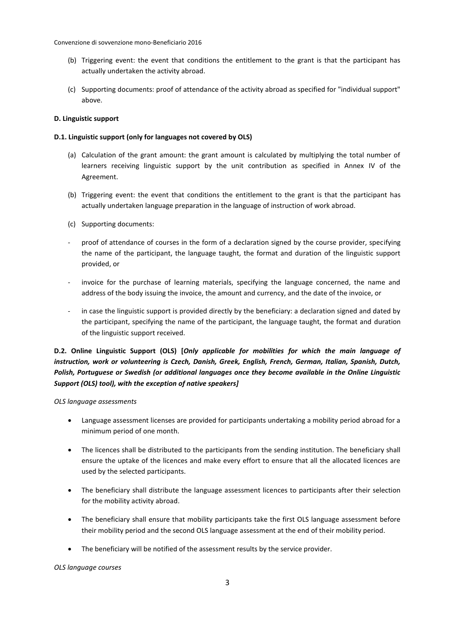- (b) Triggering event: the event that conditions the entitlement to the grant is that the participant has actually undertaken the activity abroad.
- (c) Supporting documents: proof of attendance of the activity abroad as specified for "individual support" above.

#### **D. Linguistic support**

#### **D.1. Linguistic support (only for languages not covered by OLS)**

- (a) Calculation of the grant amount: the grant amount is calculated by multiplying the total number of learners receiving linguistic support by the unit contribution as specified in Annex IV of the Agreement.
- (b) Triggering event: the event that conditions the entitlement to the grant is that the participant has actually undertaken language preparation in the language of instruction of work abroad.
- (c) Supporting documents:
- proof of attendance of courses in the form of a declaration signed by the course provider, specifying the name of the participant, the language taught, the format and duration of the linguistic support provided, or
- invoice for the purchase of learning materials, specifying the language concerned, the name and address of the body issuing the invoice, the amount and currency, and the date of the invoice, or
- in case the linguistic support is provided directly by the beneficiary: a declaration signed and dated by the participant, specifying the name of the participant, the language taught, the format and duration of the linguistic support received.

# **D.2. Online Linguistic Support (OLS) [***Only applicable for mobilities for which the main language of instruction, work or volunteering is Czech, Danish, Greek, English, French, German, Italian, Spanish, Dutch, Polish, Portuguese or Swedish (or additional languages once they become available in the Online Linguistic Support (OLS) tool), with the exception of native speakers]*

#### *OLS language assessments*

- Language assessment licenses are provided for participants undertaking a mobility period abroad for a minimum period of one month.
- The licences shall be distributed to the participants from the sending institution. The beneficiary shall ensure the uptake of the licences and make every effort to ensure that all the allocated licences are used by the selected participants.
- The beneficiary shall distribute the language assessment licences to participants after their selection for the mobility activity abroad.
- The beneficiary shall ensure that mobility participants take the first OLS language assessment before their mobility period and the second OLS language assessment at the end of their mobility period.
- The beneficiary will be notified of the assessment results by the service provider.

#### *OLS language courses*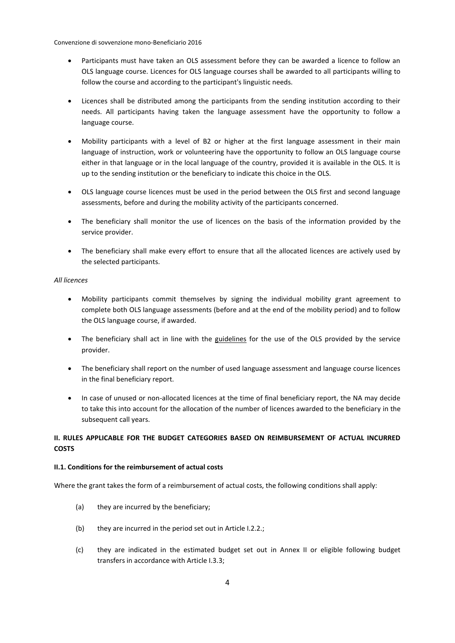- Participants must have taken an OLS assessment before they can be awarded a licence to follow an OLS language course. Licences for OLS language courses shall be awarded to all participants willing to follow the course and according to the participant's linguistic needs.
- Licences shall be distributed among the participants from the sending institution according to their needs. All participants having taken the language assessment have the opportunity to follow a language course.
- Mobility participants with a level of B2 or higher at the first language assessment in their main language of instruction, work or volunteering have the opportunity to follow an OLS language course either in that language or in the local language of the country, provided it is available in the OLS. It is up to the sending institution or the beneficiary to indicate this choice in the OLS.
- OLS language course licences must be used in the period between the OLS first and second language assessments, before and during the mobility activity of the participants concerned.
- The beneficiary shall monitor the use of licences on the basis of the information provided by the service provider.
- The beneficiary shall make every effort to ensure that all the allocated licences are actively used by the selected participants.

# *All licences*

- Mobility participants commit themselves by signing the individual mobility grant agreement to complete both OLS language assessments (before and at the end of the mobility period) and to follow the OLS language course, if awarded.
- The beneficiary shall act in line with the guidelines for the use of the OLS provided by the service provider.
- The beneficiary shall report on the number of used language assessment and language course licences in the final beneficiary report.
- In case of unused or non-allocated licences at the time of final beneficiary report, the NA may decide to take this into account for the allocation of the number of licences awarded to the beneficiary in the subsequent call years.

# **II. RULES APPLICABLE FOR THE BUDGET CATEGORIES BASED ON REIMBURSEMENT OF ACTUAL INCURRED COSTS**

# **II.1. Conditions for the reimbursement of actual costs**

Where the grant takes the form of a reimbursement of actual costs, the following conditions shall apply:

- (a) they are incurred by the beneficiary;
- (b) they are incurred in the period set out in Article I.2.2.;
- (c) they are indicated in the estimated budget set out in Annex II or eligible following budget transfers in accordance with Article I.3.3;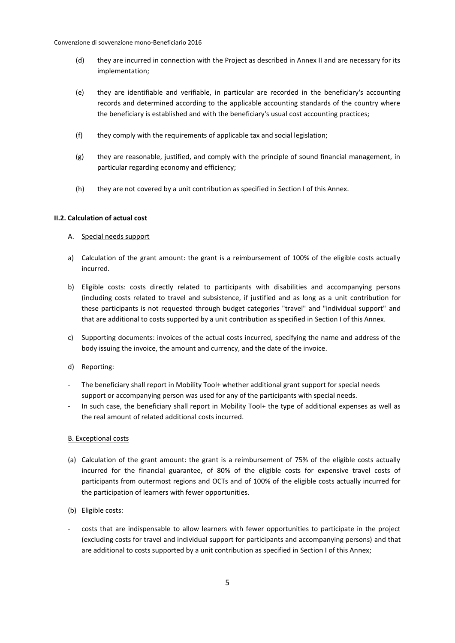- (d) they are incurred in connection with the Project as described in Annex II and are necessary for its implementation;
- (e) they are identifiable and verifiable, in particular are recorded in the beneficiary's accounting records and determined according to the applicable accounting standards of the country where the beneficiary is established and with the beneficiary's usual cost accounting practices;
- (f) they comply with the requirements of applicable tax and social legislation;
- (g) they are reasonable, justified, and comply with the principle of sound financial management, in particular regarding economy and efficiency;
- (h) they are not covered by a unit contribution as specified in Section I of this Annex.

## **II.2. Calculation of actual cost**

- A. Special needs support
- a) Calculation of the grant amount: the grant is a reimbursement of 100% of the eligible costs actually incurred.
- b) Eligible costs: costs directly related to participants with disabilities and accompanying persons (including costs related to travel and subsistence, if justified and as long as a unit contribution for these participants is not requested through budget categories "travel" and "individual support" and that are additional to costs supported by a unit contribution as specified in Section I of this Annex.
- c) Supporting documents: invoices of the actual costs incurred, specifying the name and address of the body issuing the invoice, the amount and currency, and the date of the invoice.
- d) Reporting:
- The beneficiary shall report in Mobility Tool+ whether additional grant support for special needs support or accompanying person was used for any of the participants with special needs.
- In such case, the beneficiary shall report in Mobility Tool+ the type of additional expenses as well as the real amount of related additional costs incurred.

## B. Exceptional costs

- (a) Calculation of the grant amount: the grant is a reimbursement of 75% of the eligible costs actually incurred for the financial guarantee, of 80% of the eligible costs for expensive travel costs of participants from outermost regions and OCTs and of 100% of the eligible costs actually incurred for the participation of learners with fewer opportunities.
- (b) Eligible costs:
- costs that are indispensable to allow learners with fewer opportunities to participate in the project (excluding costs for travel and individual support for participants and accompanying persons) and that are additional to costs supported by a unit contribution as specified in Section I of this Annex;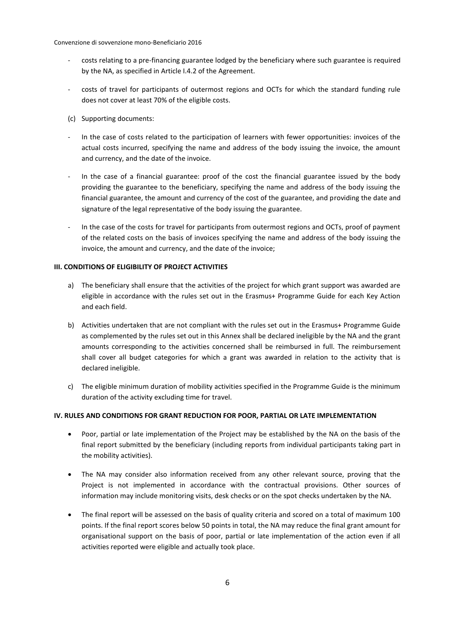- costs relating to a pre-financing guarantee lodged by the beneficiary where such guarantee is required by the NA, as specified in Article I.4.2 of the Agreement.
- costs of travel for participants of outermost regions and OCTs for which the standard funding rule does not cover at least 70% of the eligible costs.
- (c) Supporting documents:
- In the case of costs related to the participation of learners with fewer opportunities: invoices of the actual costs incurred, specifying the name and address of the body issuing the invoice, the amount and currency, and the date of the invoice.
- In the case of a financial guarantee: proof of the cost the financial guarantee issued by the body providing the guarantee to the beneficiary, specifying the name and address of the body issuing the financial guarantee, the amount and currency of the cost of the guarantee, and providing the date and signature of the legal representative of the body issuing the guarantee.
- In the case of the costs for travel for participants from outermost regions and OCTs, proof of payment of the related costs on the basis of invoices specifying the name and address of the body issuing the invoice, the amount and currency, and the date of the invoice;

## **III. CONDITIONS OF ELIGIBILITY OF PROJECT ACTIVITIES**

- a) The beneficiary shall ensure that the activities of the project for which grant support was awarded are eligible in accordance with the rules set out in the Erasmus+ Programme Guide for each Key Action and each field.
- b) Activities undertaken that are not compliant with the rules set out in the Erasmus+ Programme Guide as complemented by the rules set out in this Annex shall be declared ineligible by the NA and the grant amounts corresponding to the activities concerned shall be reimbursed in full. The reimbursement shall cover all budget categories for which a grant was awarded in relation to the activity that is declared ineligible.
- c) The eligible minimum duration of mobility activities specified in the Programme Guide is the minimum duration of the activity excluding time for travel.

## **IV. RULES AND CONDITIONS FOR GRANT REDUCTION FOR POOR, PARTIAL OR LATE IMPLEMENTATION**

- Poor, partial or late implementation of the Project may be established by the NA on the basis of the final report submitted by the beneficiary (including reports from individual participants taking part in the mobility activities).
- The NA may consider also information received from any other relevant source, proving that the Project is not implemented in accordance with the contractual provisions. Other sources of information may include monitoring visits, desk checks or on the spot checks undertaken by the NA.
- The final report will be assessed on the basis of quality criteria and scored on a total of maximum 100 points. If the final report scores below 50 points in total, the NA may reduce the final grant amount for organisational support on the basis of poor, partial or late implementation of the action even if all activities reported were eligible and actually took place.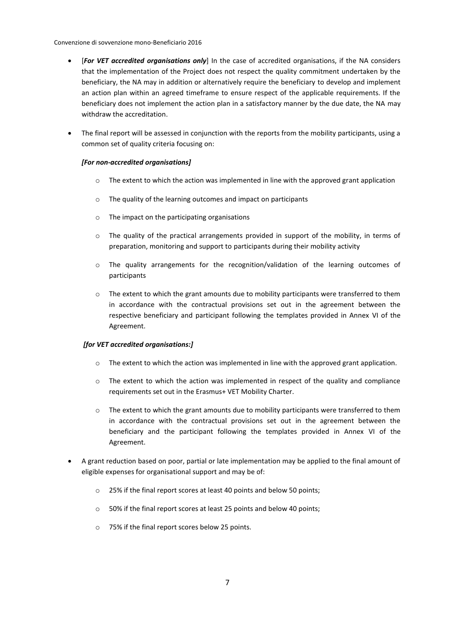- [*For VET accredited organisations only*] In the case of accredited organisations, if the NA considers that the implementation of the Project does not respect the quality commitment undertaken by the beneficiary, the NA may in addition or alternatively require the beneficiary to develop and implement an action plan within an agreed timeframe to ensure respect of the applicable requirements. If the beneficiary does not implement the action plan in a satisfactory manner by the due date, the NA may withdraw the accreditation.
- The final report will be assessed in conjunction with the reports from the mobility participants, using a common set of quality criteria focusing on:

# *[For non-accredited organisations]*

- $\circ$  The extent to which the action was implemented in line with the approved grant application
- o The quality of the learning outcomes and impact on participants
- o The impact on the participating organisations
- $\circ$  The quality of the practical arrangements provided in support of the mobility, in terms of preparation, monitoring and support to participants during their mobility activity
- $\circ$  The quality arrangements for the recognition/validation of the learning outcomes of participants
- $\circ$  The extent to which the grant amounts due to mobility participants were transferred to them in accordance with the contractual provisions set out in the agreement between the respective beneficiary and participant following the templates provided in Annex VI of the Agreement.

## *[for VET accredited organisations:]*

- $\circ$  The extent to which the action was implemented in line with the approved grant application.
- $\circ$  The extent to which the action was implemented in respect of the quality and compliance requirements set out in the Erasmus+ VET Mobility Charter.
- $\circ$  The extent to which the grant amounts due to mobility participants were transferred to them in accordance with the contractual provisions set out in the agreement between the beneficiary and the participant following the templates provided in Annex VI of the Agreement.
- A grant reduction based on poor, partial or late implementation may be applied to the final amount of eligible expenses for organisational support and may be of:
	- o 25% if the final report scores at least 40 points and below 50 points;
	- o 50% if the final report scores at least 25 points and below 40 points;
	- o 75% if the final report scores below 25 points.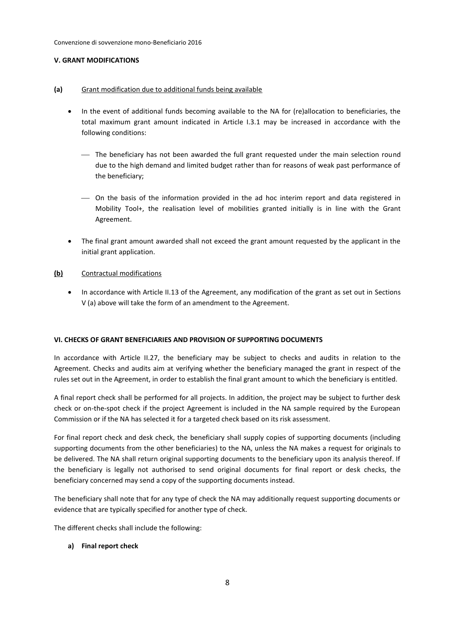#### **V. GRANT MODIFICATIONS**

#### **(a)** Grant modification due to additional funds being available

- In the event of additional funds becoming available to the NA for (re)allocation to beneficiaries, the total maximum grant amount indicated in Article I.3.1 may be increased in accordance with the following conditions:
	- The beneficiary has not been awarded the full grant requested under the main selection round due to the high demand and limited budget rather than for reasons of weak past performance of the beneficiary;
	- On the basis of the information provided in the ad hoc interim report and data registered in Mobility Tool+, the realisation level of mobilities granted initially is in line with the Grant Agreement.
- The final grant amount awarded shall not exceed the grant amount requested by the applicant in the initial grant application.

## **(b)** Contractual modifications

• In accordance with Article II.13 of the Agreement, any modification of the grant as set out in Sections V (a) above will take the form of an amendment to the Agreement.

#### **VI. CHECKS OF GRANT BENEFICIARIES AND PROVISION OF SUPPORTING DOCUMENTS**

In accordance with Article II.27, the beneficiary may be subject to checks and audits in relation to the Agreement. Checks and audits aim at verifying whether the beneficiary managed the grant in respect of the rules set out in the Agreement, in order to establish the final grant amount to which the beneficiary is entitled.

A final report check shall be performed for all projects. In addition, the project may be subject to further desk check or on-the-spot check if the project Agreement is included in the NA sample required by the European Commission or if the NA has selected it for a targeted check based on its risk assessment.

For final report check and desk check, the beneficiary shall supply copies of supporting documents (including supporting documents from the other beneficiaries) to the NA, unless the NA makes a request for originals to be delivered. The NA shall return original supporting documents to the beneficiary upon its analysis thereof. If the beneficiary is legally not authorised to send original documents for final report or desk checks, the beneficiary concerned may send a copy of the supporting documents instead.

The beneficiary shall note that for any type of check the NA may additionally request supporting documents or evidence that are typically specified for another type of check.

The different checks shall include the following:

**a) Final report check**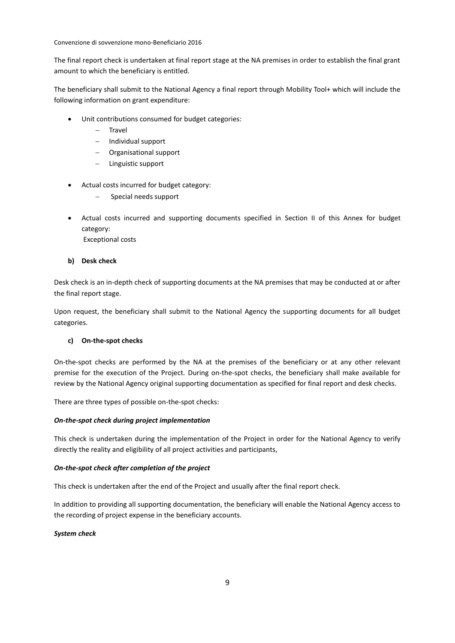The final report check is undertaken at final report stage at the NA premises in order to establish the final grant amount to which the beneficiary is entitled.

The beneficiary shall submit to the National Agency a final report through Mobility Tool+ which will include the following information on grant expenditure:

- Unit contributions consumed for budget categories:
	- $-$  Travel
	- Individual support
	- Organisational support
	- Linguistic support
- Actual costs incurred for budget category:
	- Special needs support
- Actual costs incurred and supporting documents specified in Section II of this Annex for budget category: Exceptional costs

# **b) Desk check**

Desk check is an in-depth check of supporting documents at the NA premises that may be conducted at or after the final report stage.

Upon request, the beneficiary shall submit to the National Agency the supporting documents for all budget categories.

# **c) On-the-spot checks**

On-the-spot checks are performed by the NA at the premises of the beneficiary or at any other relevant premise for the execution of the Project. During on-the-spot checks, the beneficiary shall make available for review by the National Agency original supporting documentation as specified for final report and desk checks.

There are three types of possible on-the-spot checks:

# *On-the-spot check during project implementation*

This check is undertaken during the implementation of the Project in order for the National Agency to verify directly the reality and eligibility of all project activities and participants,

# *On-the-spot check after completion of the project*

This check is undertaken after the end of the Project and usually after the final report check.

In addition to providing all supporting documentation, the beneficiary will enable the National Agency access to the recording of project expense in the beneficiary accounts.

## *System check*